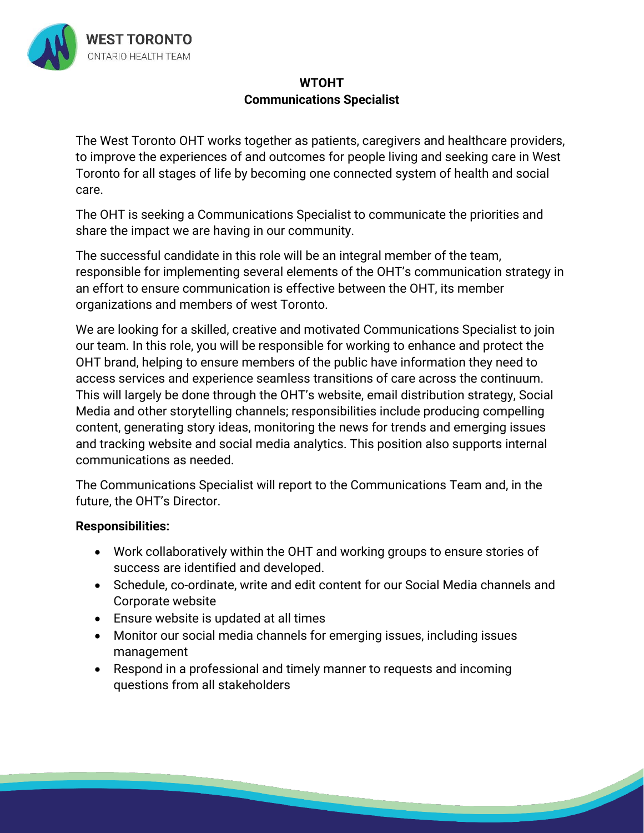

## **WTOHT Communications Specialist**

The West Toronto OHT works together as patients, caregivers and healthcare providers, to improve the experiences of and outcomes for people living and seeking care in West Toronto for all stages of life by becoming one connected system of health and social care.

The OHT is seeking a Communications Specialist to communicate the priorities and share the impact we are having in our community.

The successful candidate in this role will be an integral member of the team, responsible for implementing several elements of the OHT's communication strategy in an effort to ensure communication is effective between the OHT, its member organizations and members of west Toronto.

We are looking for a skilled, creative and motivated Communications Specialist to join our team. In this role, you will be responsible for working to enhance and protect the OHT brand, helping to ensure members of the public have information they need to access services and experience seamless transitions of care across the continuum. This will largely be done through the OHT's website, email distribution strategy, Social Media and other storytelling channels; responsibilities include producing compelling content, generating story ideas, monitoring the news for trends and emerging issues and tracking website and social media analytics. This position also supports internal communications as needed.

The Communications Specialist will report to the Communications Team and, in the future, the OHT's Director.

## **Responsibilities:**

- Work collaboratively within the OHT and working groups to ensure stories of success are identified and developed.
- Schedule, co-ordinate, write and edit content for our Social Media channels and Corporate website

- Ensure website is updated at all times
- Monitor our social media channels for emerging issues, including issues management
- Respond in a professional and timely manner to requests and incoming questions from all stakeholders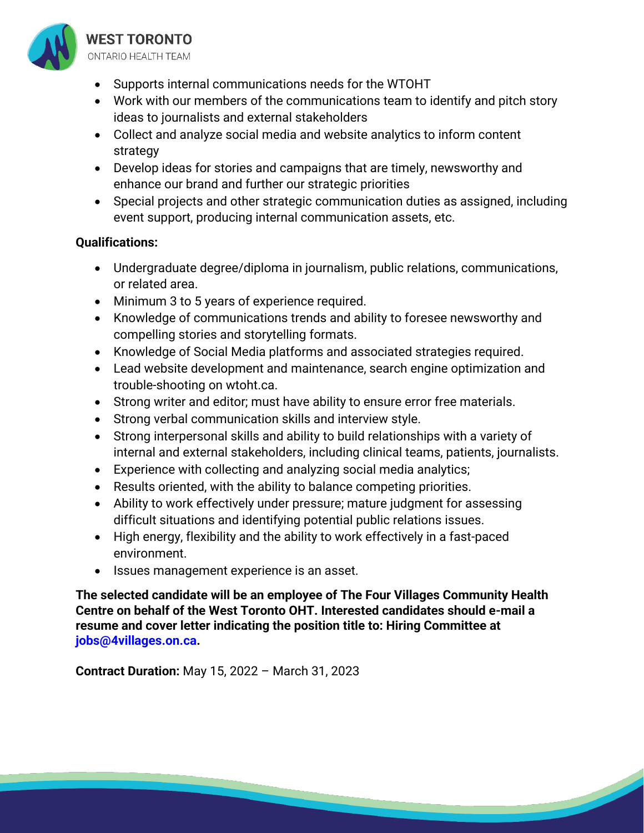

- Supports internal communications needs for the WTOHT
- Work with our members of the communications team to identify and pitch story ideas to journalists and external stakeholders
- Collect and analyze social media and website analytics to inform content strategy
- Develop ideas for stories and campaigns that are timely, newsworthy and enhance our brand and further our strategic priorities
- Special projects and other strategic communication duties as assigned, including event support, producing internal communication assets, etc.

## **Qualifications:**

- Undergraduate degree/diploma in journalism, public relations, communications, or related area.
- Minimum 3 to 5 years of experience required.
- Knowledge of communications trends and ability to foresee newsworthy and compelling stories and storytelling formats.
- Knowledge of Social Media platforms and associated strategies required.
- Lead website development and maintenance, search engine optimization and trouble-shooting on wtoht.ca.
- Strong writer and editor; must have ability to ensure error free materials.
- Strong verbal communication skills and interview style.
- Strong interpersonal skills and ability to build relationships with a variety of internal and external stakeholders, including clinical teams, patients, journalists.
- Experience with collecting and analyzing social media analytics;
- Results oriented, with the ability to balance competing priorities.
- Ability to work effectively under pressure; mature judgment for assessing difficult situations and identifying potential public relations issues.
- High energy, flexibility and the ability to work effectively in a fast-paced environment.
- Issues management experience is an asset.

**The selected candidate will be an employee of The Four Villages Community Health Centre on behalf of the West Toronto OHT. Interested candidates should e-mail a resume and cover letter indicating the position title to: Hiring Committee at jobs@4villages.on.ca.** 

**Contract Duration:** May 15, 2022 – March 31, 2023